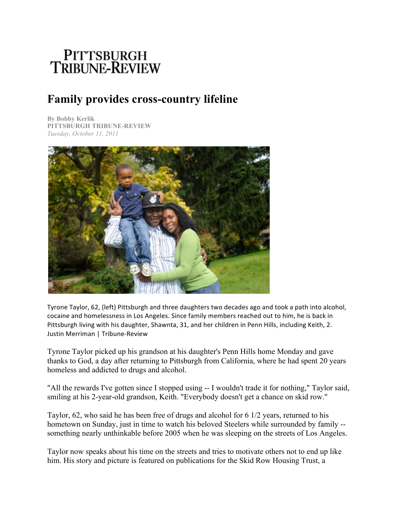## PITTSBURGH<br>TRIBUNE-REVIEW

## **Family provides cross-country lifeline**

**By Bobby Kerlik PITTSBURGH TRIBUNE-REVIEW** *Tuesday, October 11, 2011*



Tyrone Taylor, 62, (left) Pittsburgh and three daughters two decades ago and took a path into alcohol, cocaine and homelessness in Los Angeles. Since family members reached out to him, he is back in Pittsburgh living with his daughter, Shawnta, 31, and her children in Penn Hills, including Keith, 2. Justin Merriman | Tribune-Review

Tyrone Taylor picked up his grandson at his daughter's Penn Hills home Monday and gave thanks to God, a day after returning to Pittsburgh from California, where he had spent 20 years homeless and addicted to drugs and alcohol.

"All the rewards I've gotten since I stopped using -- I wouldn't trade it for nothing," Taylor said, smiling at his 2-year-old grandson, Keith. "Everybody doesn't get a chance on skid row."

Taylor, 62, who said he has been free of drugs and alcohol for 6 1/2 years, returned to his hometown on Sunday, just in time to watch his beloved Steelers while surrounded by family - something nearly unthinkable before 2005 when he was sleeping on the streets of Los Angeles.

Taylor now speaks about his time on the streets and tries to motivate others not to end up like him. His story and picture is featured on publications for the Skid Row Housing Trust, a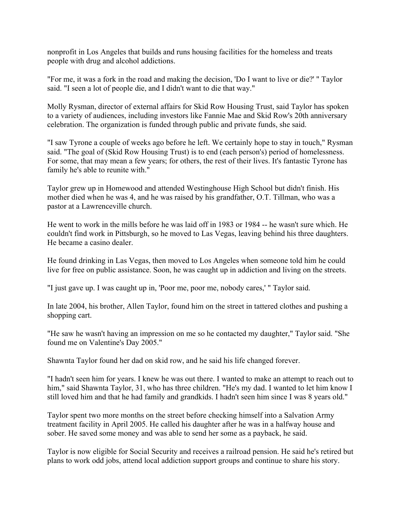nonprofit in Los Angeles that builds and runs housing facilities for the homeless and treats people with drug and alcohol addictions.

"For me, it was a fork in the road and making the decision, 'Do I want to live or die?' " Taylor said. "I seen a lot of people die, and I didn't want to die that way."

Molly Rysman, director of external affairs for Skid Row Housing Trust, said Taylor has spoken to a variety of audiences, including investors like Fannie Mae and Skid Row's 20th anniversary celebration. The organization is funded through public and private funds, she said.

"I saw Tyrone a couple of weeks ago before he left. We certainly hope to stay in touch," Rysman said. "The goal of (Skid Row Housing Trust) is to end (each person's) period of homelessness. For some, that may mean a few years; for others, the rest of their lives. It's fantastic Tyrone has family he's able to reunite with."

Taylor grew up in Homewood and attended Westinghouse High School but didn't finish. His mother died when he was 4, and he was raised by his grandfather, O.T. Tillman, who was a pastor at a Lawrenceville church.

He went to work in the mills before he was laid off in 1983 or 1984 -- he wasn't sure which. He couldn't find work in Pittsburgh, so he moved to Las Vegas, leaving behind his three daughters. He became a casino dealer.

He found drinking in Las Vegas, then moved to Los Angeles when someone told him he could live for free on public assistance. Soon, he was caught up in addiction and living on the streets.

"I just gave up. I was caught up in, 'Poor me, poor me, nobody cares,' " Taylor said.

In late 2004, his brother, Allen Taylor, found him on the street in tattered clothes and pushing a shopping cart.

"He saw he wasn't having an impression on me so he contacted my daughter," Taylor said. "She found me on Valentine's Day 2005."

Shawnta Taylor found her dad on skid row, and he said his life changed forever.

"I hadn't seen him for years. I knew he was out there. I wanted to make an attempt to reach out to him," said Shawnta Taylor, 31, who has three children. "He's my dad. I wanted to let him know I still loved him and that he had family and grandkids. I hadn't seen him since I was 8 years old."

Taylor spent two more months on the street before checking himself into a Salvation Army treatment facility in April 2005. He called his daughter after he was in a halfway house and sober. He saved some money and was able to send her some as a payback, he said.

Taylor is now eligible for Social Security and receives a railroad pension. He said he's retired but plans to work odd jobs, attend local addiction support groups and continue to share his story.